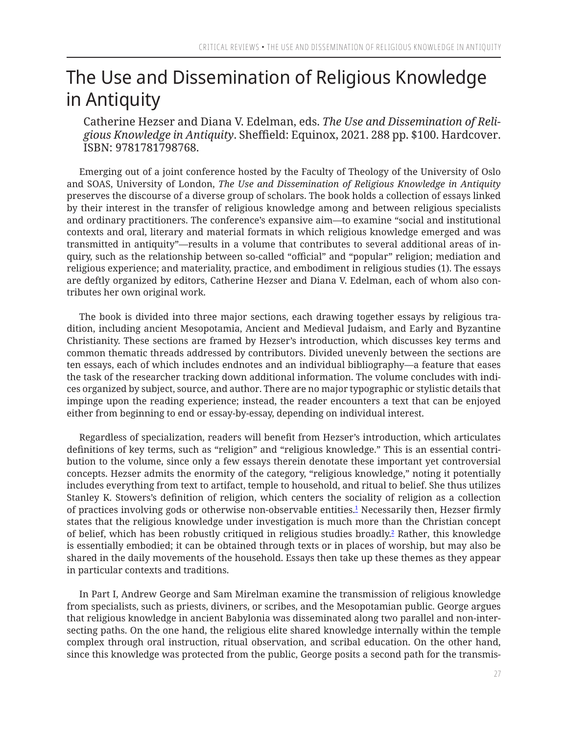## <span id="page-0-0"></span>The Use and Dissemination of Religious Knowledge in Antiquity

Catherine Hezser and Diana V. Edelman, eds. *The Use and Dissemination of Religious Knowledge in Antiquity*. Sheffield: Equinox, 2021. 288 pp. \$100. Hardcover. ISBN: 9781781798768.

Emerging out of a joint conference hosted by the Faculty of Theology of the University of Oslo and SOAS, University of London, *The Use and Dissemination of Religious Knowledge in Antiquity*  preserves the discourse of a diverse group of scholars. The book holds a collection of essays linked by their interest in the transfer of religious knowledge among and between religious specialists and ordinary practitioners. The conference's expansive aim—to examine "social and institutional contexts and oral, literary and material formats in which religious knowledge emerged and was transmitted in antiquity"—results in a volume that contributes to several additional areas of inquiry, such as the relationship between so-called "official" and "popular" religion; mediation and religious experience; and materiality, practice, and embodiment in religious studies (1). The essays are deftly organized by editors, Catherine Hezser and Diana V. Edelman, each of whom also contributes her own original work.

The book is divided into three major sections, each drawing together essays by religious tradition, including ancient Mesopotamia, Ancient and Medieval Judaism, and Early and Byzantine Christianity. These sections are framed by Hezser's introduction, which discusses key terms and common thematic threads addressed by contributors. Divided unevenly between the sections are ten essays, each of which includes endnotes and an individual bibliography—a feature that eases the task of the researcher tracking down additional information. The volume concludes with indices organized by subject, source, and author. There are no major typographic or stylistic details that impinge upon the reading experience; instead, the reader encounters a text that can be enjoyed either from beginning to end or essay-by-essay, depending on individual interest.

Regardless of specialization, readers will benefit from Hezser's introduction, which articulates definitions of key terms, such as "religion" and "religious knowledge." This is an essential contribution to the volume, since only a few essays therein denotate these important yet controversial concepts. Hezser admits the enormity of the category, "religious knowledge," noting it potentially includes everything from text to artifact, temple to household, and ritual to belief. She thus utilizes Stanley K. Stowers's definition of religion, which centers the sociality of religion as a collection of practices involving gods or otherwise non-observable entities.[1](#page-3-0) Necessarily then, Hezser firmly states that the religious knowledge under investigation is much more than the Christian concept of belief, which has been robustly critiqued in religious studies broadly.[2](#page-3-0) Rather, this knowledge is essentially embodied; it can be obtained through texts or in places of worship, but may also be shared in the daily movements of the household. Essays then take up these themes as they appear in particular contexts and traditions.

In Part I, Andrew George and Sam Mirelman examine the transmission of religious knowledge from specialists, such as priests, diviners, or scribes, and the Mesopotamian public. George argues that religious knowledge in ancient Babylonia was disseminated along two parallel and non-intersecting paths. On the one hand, the religious elite shared knowledge internally within the temple complex through oral instruction, ritual observation, and scribal education. On the other hand, since this knowledge was protected from the public, George posits a second path for the transmis-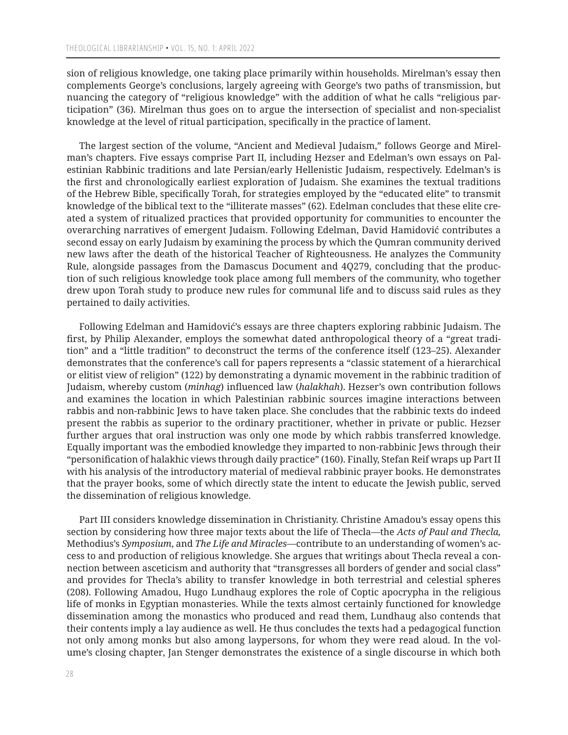sion of religious knowledge, one taking place primarily within households. Mirelman's essay then complements George's conclusions, largely agreeing with George's two paths of transmission, but nuancing the category of "religious knowledge" with the addition of what he calls "religious participation" (36). Mirelman thus goes on to argue the intersection of specialist and non-specialist knowledge at the level of ritual participation, specifically in the practice of lament.

The largest section of the volume, "Ancient and Medieval Judaism," follows George and Mirelman's chapters. Five essays comprise Part II, including Hezser and Edelman's own essays on Palestinian Rabbinic traditions and late Persian/early Hellenistic Judaism, respectively. Edelman's is the first and chronologically earliest exploration of Judaism. She examines the textual traditions of the Hebrew Bible, specifically Torah, for strategies employed by the "educated elite" to transmit knowledge of the biblical text to the "illiterate masses" (62). Edelman concludes that these elite created a system of ritualized practices that provided opportunity for communities to encounter the overarching narratives of emergent Judaism. Following Edelman, David Hamidović contributes a second essay on early Judaism by examining the process by which the Qumran community derived new laws after the death of the historical Teacher of Righteousness. He analyzes the Community Rule, alongside passages from the Damascus Document and 4Q279, concluding that the production of such religious knowledge took place among full members of the community, who together drew upon Torah study to produce new rules for communal life and to discuss said rules as they pertained to daily activities.

Following Edelman and Hamidović's essays are three chapters exploring rabbinic Judaism. The first, by Philip Alexander, employs the somewhat dated anthropological theory of a "great tradition" and a "little tradition" to deconstruct the terms of the conference itself (123–25). Alexander demonstrates that the conference's call for papers represents a "classic statement of a hierarchical or elitist view of religion" (122) by demonstrating a dynamic movement in the rabbinic tradition of Judaism, whereby custom (*minhag*) influenced law (*halakhah*). Hezser's own contribution follows and examines the location in which Palestinian rabbinic sources imagine interactions between rabbis and non-rabbinic Jews to have taken place. She concludes that the rabbinic texts do indeed present the rabbis as superior to the ordinary practitioner, whether in private or public. Hezser further argues that oral instruction was only one mode by which rabbis transferred knowledge. Equally important was the embodied knowledge they imparted to non-rabbinic Jews through their "personification of halakhic views through daily practice" (160). Finally, Stefan Reif wraps up Part II with his analysis of the introductory material of medieval rabbinic prayer books. He demonstrates that the prayer books, some of which directly state the intent to educate the Jewish public, served the dissemination of religious knowledge.

Part III considers knowledge dissemination in Christianity. Christine Amadou's essay opens this section by considering how three major texts about the life of Thecla—the *Acts of Paul and Thecla,*  Methodius's *Symposium*, and *The Life and Miracles*—contribute to an understanding of women's access to and production of religious knowledge. She argues that writings about Thecla reveal a connection between asceticism and authority that "transgresses all borders of gender and social class" and provides for Thecla's ability to transfer knowledge in both terrestrial and celestial spheres (208). Following Amadou, Hugo Lundhaug explores the role of Coptic apocrypha in the religious life of monks in Egyptian monasteries. While the texts almost certainly functioned for knowledge dissemination among the monastics who produced and read them, Lundhaug also contends that their contents imply a lay audience as well. He thus concludes the texts had a pedagogical function not only among monks but also among laypersons, for whom they were read aloud. In the volume's closing chapter, Jan Stenger demonstrates the existence of a single discourse in which both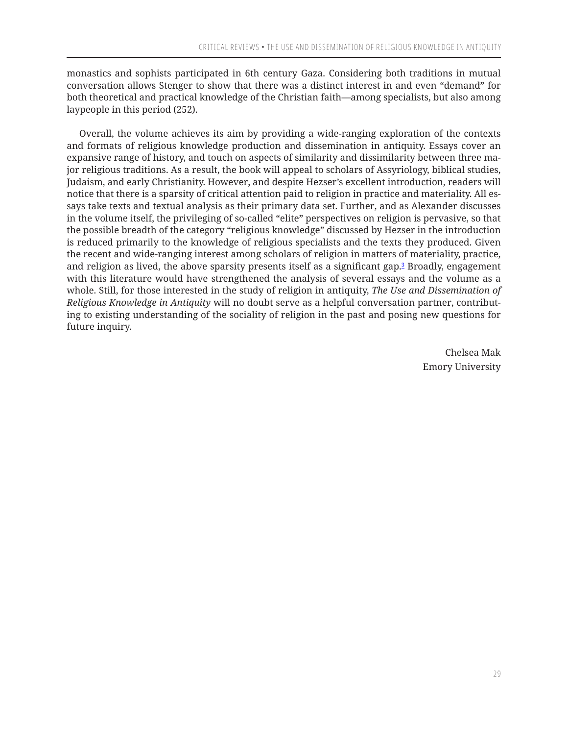<span id="page-2-0"></span>monastics and sophists participated in 6th century Gaza. Considering both traditions in mutual conversation allows Stenger to show that there was a distinct interest in and even "demand" for both theoretical and practical knowledge of the Christian faith—among specialists, but also among laypeople in this period (252).

Overall, the volume achieves its aim by providing a wide-ranging exploration of the contexts and formats of religious knowledge production and dissemination in antiquity. Essays cover an expansive range of history, and touch on aspects of similarity and dissimilarity between three major religious traditions. As a result, the book will appeal to scholars of Assyriology, biblical studies, Judaism, and early Christianity. However, and despite Hezser's excellent introduction, readers will notice that there is a sparsity of critical attention paid to religion in practice and materiality. All essays take texts and textual analysis as their primary data set. Further, and as Alexander discusses in the volume itself, the privileging of so-called "elite" perspectives on religion is pervasive, so that the possible breadth of the category "religious knowledge" discussed by Hezser in the introduction is reduced primarily to the knowledge of religious specialists and the texts they produced. Given the recent and wide-ranging interest among scholars of religion in matters of materiality, practice, and religion as lived, the above sparsity presents itself as a significant gap.<sup>[3](#page-3-0)</sup> Broadly, engagement with this literature would have strengthened the analysis of several essays and the volume as a whole. Still, for those interested in the study of religion in antiquity, *The Use and Dissemination of Religious Knowledge in Antiquity* will no doubt serve as a helpful conversation partner, contributing to existing understanding of the sociality of religion in the past and posing new questions for future inquiry.

> Chelsea Mak Emory University